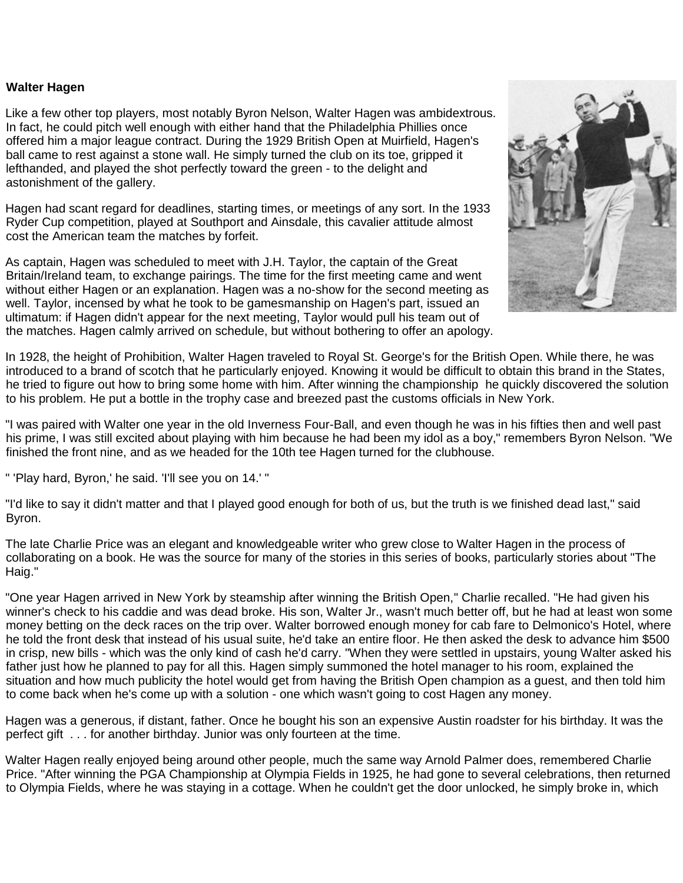## **Walter Hagen**

Like a few other top players, most notably Byron Nelson, Walter Hagen was ambidextrous. In fact, he could pitch well enough with either hand that the Philadelphia Phillies once offered him a major league contract. During the 1929 British Open at Muirfield, Hagen's ball came to rest against a stone wall. He simply turned the club on its toe, gripped it lefthanded, and played the shot perfectly toward the green - to the delight and astonishment of the gallery.

Hagen had scant regard for deadlines, starting times, or meetings of any sort. In the 1933 Ryder Cup competition, played at Southport and Ainsdale, this cavalier attitude almost cost the American team the matches by forfeit.

As captain, Hagen was scheduled to meet with J.H. Taylor, the captain of the Great Britain/Ireland team, to exchange pairings. The time for the first meeting came and went without either Hagen or an explanation. Hagen was a no-show for the second meeting as well. Taylor, incensed by what he took to be gamesmanship on Hagen's part, issued an ultimatum: if Hagen didn't appear for the next meeting, Taylor would pull his team out of the matches. Hagen calmly arrived on schedule, but without bothering to offer an apology.



In 1928, the height of Prohibition, Walter Hagen traveled to Royal St. George's for the British Open. While there, he was introduced to a brand of scotch that he particularly enjoyed. Knowing it would be difficult to obtain this brand in the States, he tried to figure out how to bring some home with him. After winning the championship he quickly discovered the solution to his problem. He put a bottle in the trophy case and breezed past the customs officials in New York.

"I was paired with Walter one year in the old Inverness Four-Ball, and even though he was in his fifties then and well past his prime, I was still excited about playing with him because he had been my idol as a boy," remembers Byron Nelson. "We finished the front nine, and as we headed for the 10th tee Hagen turned for the clubhouse.

" 'Play hard, Byron,' he said. 'I'll see you on 14.' "

"I'd like to say it didn't matter and that I played good enough for both of us, but the truth is we finished dead last," said Byron.

The late Charlie Price was an elegant and knowledgeable writer who grew close to Walter Hagen in the process of collaborating on a book. He was the source for many of the stories in this series of books, particularly stories about "The Haig."

"One year Hagen arrived in New York by steamship after winning the British Open," Charlie recalled. "He had given his winner's check to his caddie and was dead broke. His son, Walter Jr., wasn't much better off, but he had at least won some money betting on the deck races on the trip over. Walter borrowed enough money for cab fare to Delmonico's Hotel, where he told the front desk that instead of his usual suite, he'd take an entire floor. He then asked the desk to advance him \$500 in crisp, new bills - which was the only kind of cash he'd carry. "When they were settled in upstairs, young Walter asked his father just how he planned to pay for all this. Hagen simply summoned the hotel manager to his room, explained the situation and how much publicity the hotel would get from having the British Open champion as a guest, and then told him to come back when he's come up with a solution - one which wasn't going to cost Hagen any money.

Hagen was a generous, if distant, father. Once he bought his son an expensive Austin roadster for his birthday. It was the perfect gift . . . for another birthday. Junior was only fourteen at the time.

Walter Hagen really enjoyed being around other people, much the same way Arnold Palmer does, remembered Charlie Price. "After winning the PGA Championship at Olympia Fields in 1925, he had gone to several celebrations, then returned to Olympia Fields, where he was staying in a cottage. When he couldn't get the door unlocked, he simply broke in, which